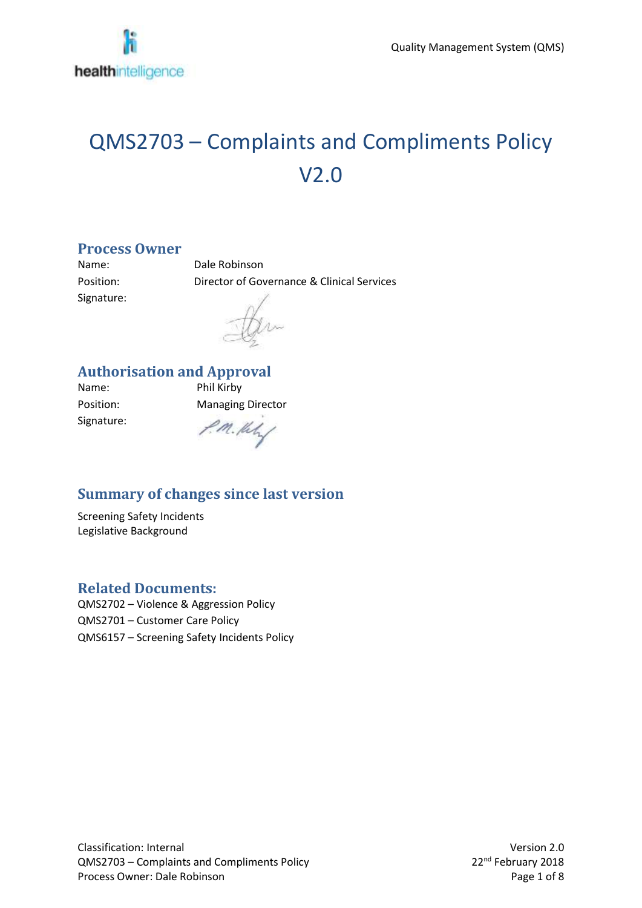# QMS2703 – Complaints and Compliments Policy V2.0

#### **Process Owner**

Signature:

Name: Dale Robinson Position: Director of Governance & Clinical Services

#### **Authorisation and Approval**

Name: Phil Kirby Signature:

Position: Managing Director

P.M. Hely

#### **Summary of changes since last version**

Screening Safety Incidents Legislative Background

#### **Related Documents:**

QMS2702 – Violence & Aggression Policy QMS2701 – Customer Care Policy QMS6157 – Screening Safety Incidents Policy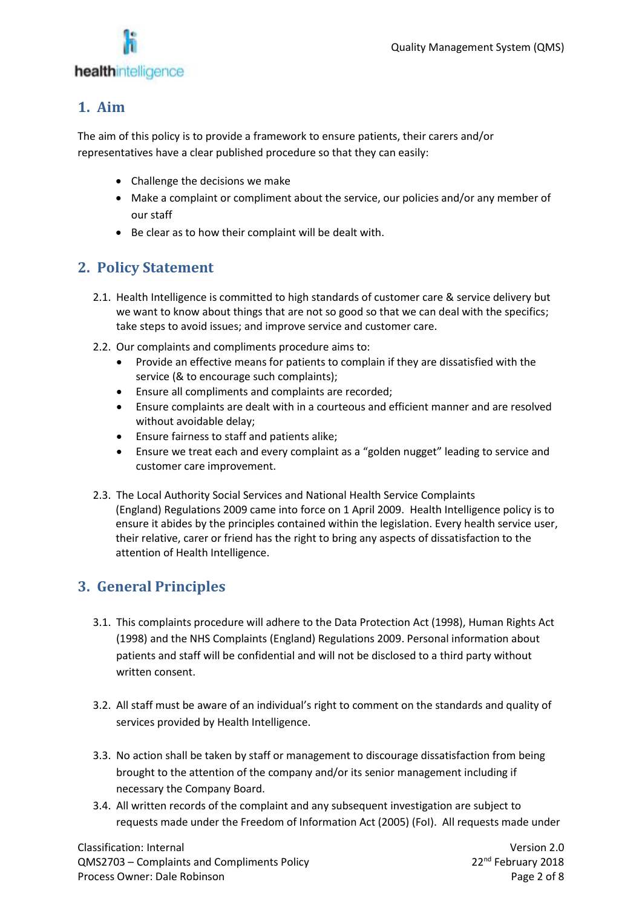

#### **1. Aim**

The aim of this policy is to provide a framework to ensure patients, their carers and/or representatives have a clear published procedure so that they can easily:

- Challenge the decisions we make
- Make a complaint or compliment about the service, our policies and/or any member of our staff
- Be clear as to how their complaint will be dealt with.

#### **2. Policy Statement**

- 2.1. Health Intelligence is committed to high standards of customer care & service delivery but we want to know about things that are not so good so that we can deal with the specifics; take steps to avoid issues; and improve service and customer care.
- 2.2. Our complaints and compliments procedure aims to:
	- Provide an effective means for patients to complain if they are dissatisfied with the service (& to encourage such complaints);
	- Ensure all compliments and complaints are recorded;
	- Ensure complaints are dealt with in a courteous and efficient manner and are resolved without avoidable delay;
	- Ensure fairness to staff and patients alike;
	- Ensure we treat each and every complaint as a "golden nugget" leading to service and customer care improvement.
- 2.3. The Local Authority Social Services and National Health Service Complaints (England) Regulations 2009 came into force on 1 April 2009. Health Intelligence policy is to ensure it abides by the principles contained within the legislation. Every health service user, their relative, carer or friend has the right to bring any aspects of dissatisfaction to the attention of Health Intelligence.

#### **3. General Principles**

- 3.1. This complaints procedure will adhere to the Data Protection Act (1998), Human Rights Act (1998) and the NHS Complaints (England) Regulations 2009. Personal information about patients and staff will be confidential and will not be disclosed to a third party without written consent.
- 3.2. All staff must be aware of an individual's right to comment on the standards and quality of services provided by Health Intelligence.
- 3.3. No action shall be taken by staff or management to discourage dissatisfaction from being brought to the attention of the company and/or its senior management including if necessary the Company Board.
- 3.4. All written records of the complaint and any subsequent investigation are subject to requests made under the Freedom of Information Act (2005) (FoI). All requests made under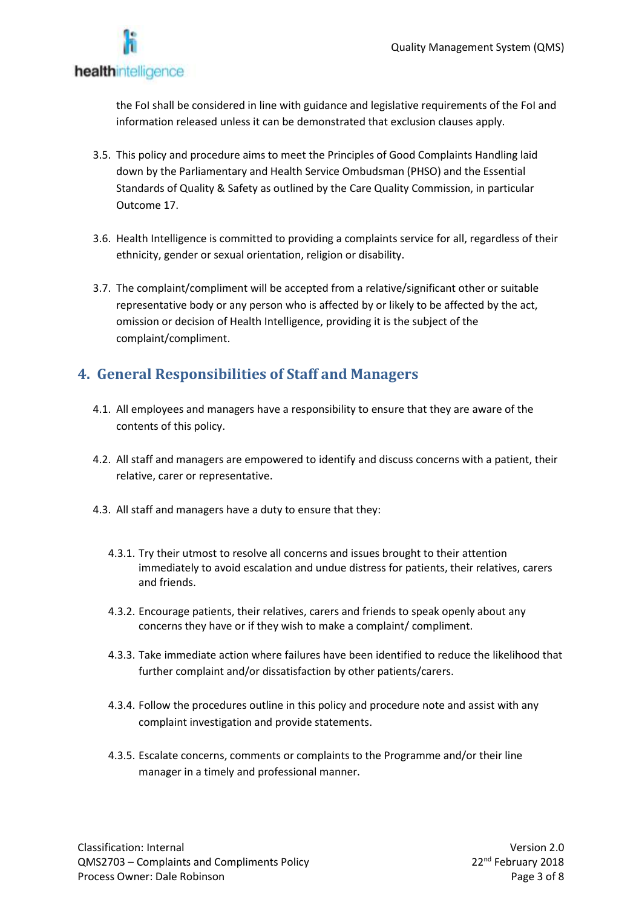

the FoI shall be considered in line with guidance and legislative requirements of the FoI and information released unless it can be demonstrated that exclusion clauses apply.

- 3.5. This policy and procedure aims to meet the Principles of Good Complaints Handling laid down by the Parliamentary and Health Service Ombudsman (PHSO) and the Essential Standards of Quality & Safety as outlined by the Care Quality Commission, in particular Outcome 17.
- 3.6. Health Intelligence is committed to providing a complaints service for all, regardless of their ethnicity, gender or sexual orientation, religion or disability.
- 3.7. The complaint/compliment will be accepted from a relative/significant other or suitable representative body or any person who is affected by or likely to be affected by the act, omission or decision of Health Intelligence, providing it is the subject of the complaint/compliment.

### **4. General Responsibilities of Staff and Managers**

- 4.1. All employees and managers have a responsibility to ensure that they are aware of the contents of this policy.
- 4.2. All staff and managers are empowered to identify and discuss concerns with a patient, their relative, carer or representative.
- 4.3. All staff and managers have a duty to ensure that they:
	- 4.3.1. Try their utmost to resolve all concerns and issues brought to their attention immediately to avoid escalation and undue distress for patients, their relatives, carers and friends.
	- 4.3.2. Encourage patients, their relatives, carers and friends to speak openly about any concerns they have or if they wish to make a complaint/ compliment.
	- 4.3.3. Take immediate action where failures have been identified to reduce the likelihood that further complaint and/or dissatisfaction by other patients/carers.
	- 4.3.4. Follow the procedures outline in this policy and procedure note and assist with any complaint investigation and provide statements.
	- 4.3.5. Escalate concerns, comments or complaints to the Programme and/or their line manager in a timely and professional manner.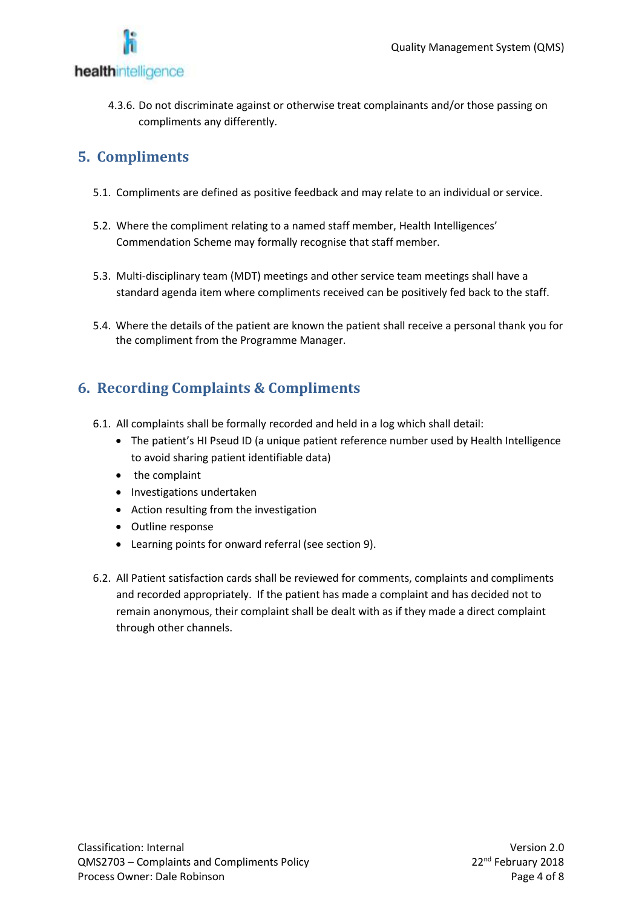

4.3.6. Do not discriminate against or otherwise treat complainants and/or those passing on compliments any differently.

## **5. Compliments**

- 5.1. Compliments are defined as positive feedback and may relate to an individual or service.
- 5.2. Where the compliment relating to a named staff member, Health Intelligences' Commendation Scheme may formally recognise that staff member.
- 5.3. Multi-disciplinary team (MDT) meetings and other service team meetings shall have a standard agenda item where compliments received can be positively fed back to the staff.
- 5.4. Where the details of the patient are known the patient shall receive a personal thank you for the compliment from the Programme Manager.

# **6. Recording Complaints & Compliments**

- 6.1. All complaints shall be formally recorded and held in a log which shall detail:
	- The patient's HI Pseud ID (a unique patient reference number used by Health Intelligence to avoid sharing patient identifiable data)
	- the complaint
	- Investigations undertaken
	- Action resulting from the investigation
	- Outline response
	- Learning points for onward referral (see section 9).
- 6.2. All Patient satisfaction cards shall be reviewed for comments, complaints and compliments and recorded appropriately. If the patient has made a complaint and has decided not to remain anonymous, their complaint shall be dealt with as if they made a direct complaint through other channels.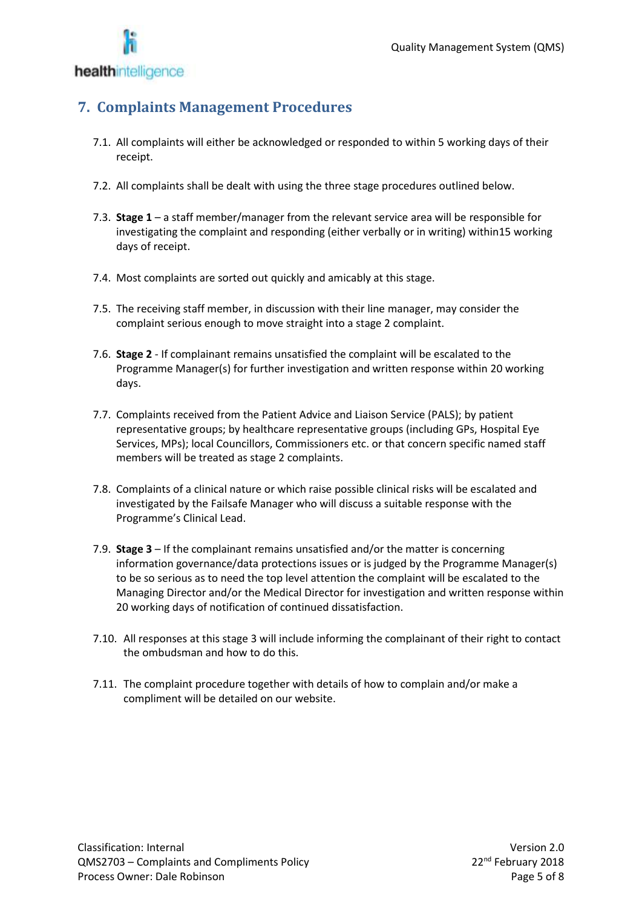

## **7. Complaints Management Procedures**

- 7.1. All complaints will either be acknowledged or responded to within 5 working days of their receipt.
- 7.2. All complaints shall be dealt with using the three stage procedures outlined below.
- 7.3. **Stage 1** a staff member/manager from the relevant service area will be responsible for investigating the complaint and responding (either verbally or in writing) within15 working days of receipt.
- 7.4. Most complaints are sorted out quickly and amicably at this stage.
- 7.5. The receiving staff member, in discussion with their line manager, may consider the complaint serious enough to move straight into a stage 2 complaint.
- 7.6. **Stage 2** If complainant remains unsatisfied the complaint will be escalated to the Programme Manager(s) for further investigation and written response within 20 working days.
- 7.7. Complaints received from the Patient Advice and Liaison Service (PALS); by patient representative groups; by healthcare representative groups (including GPs, Hospital Eye Services, MPs); local Councillors, Commissioners etc. or that concern specific named staff members will be treated as stage 2 complaints.
- 7.8. Complaints of a clinical nature or which raise possible clinical risks will be escalated and investigated by the Failsafe Manager who will discuss a suitable response with the Programme's Clinical Lead.
- 7.9. **Stage 3** If the complainant remains unsatisfied and/or the matter is concerning information governance/data protections issues or is judged by the Programme Manager(s) to be so serious as to need the top level attention the complaint will be escalated to the Managing Director and/or the Medical Director for investigation and written response within 20 working days of notification of continued dissatisfaction.
- 7.10. All responses at this stage 3 will include informing the complainant of their right to contact the ombudsman and how to do this.
- 7.11. The complaint procedure together with details of how to complain and/or make a compliment will be detailed on our website.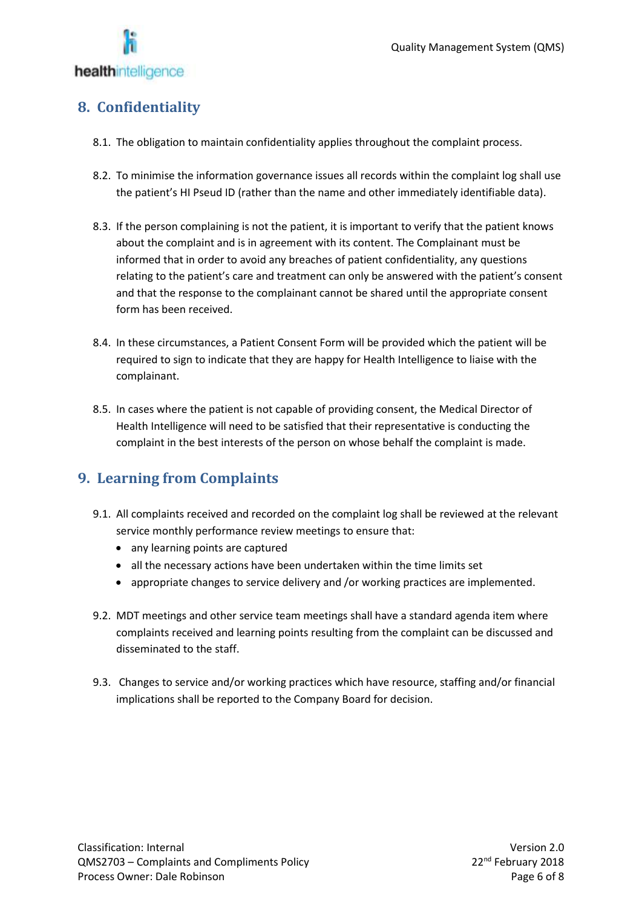

### **8. Confidentiality**

- 8.1. The obligation to maintain confidentiality applies throughout the complaint process.
- 8.2. To minimise the information governance issues all records within the complaint log shall use the patient's HI Pseud ID (rather than the name and other immediately identifiable data).
- 8.3. If the person complaining is not the patient, it is important to verify that the patient knows about the complaint and is in agreement with its content. The Complainant must be informed that in order to avoid any breaches of patient confidentiality, any questions relating to the patient's care and treatment can only be answered with the patient's consent and that the response to the complainant cannot be shared until the appropriate consent form has been received.
- 8.4. In these circumstances, a Patient Consent Form will be provided which the patient will be required to sign to indicate that they are happy for Health Intelligence to liaise with the complainant.
- 8.5. In cases where the patient is not capable of providing consent, the Medical Director of Health Intelligence will need to be satisfied that their representative is conducting the complaint in the best interests of the person on whose behalf the complaint is made.

#### **9. Learning from Complaints**

- 9.1. All complaints received and recorded on the complaint log shall be reviewed at the relevant service monthly performance review meetings to ensure that:
	- any learning points are captured
	- all the necessary actions have been undertaken within the time limits set
	- appropriate changes to service delivery and /or working practices are implemented.
- 9.2. MDT meetings and other service team meetings shall have a standard agenda item where complaints received and learning points resulting from the complaint can be discussed and disseminated to the staff.
- 9.3. Changes to service and/or working practices which have resource, staffing and/or financial implications shall be reported to the Company Board for decision.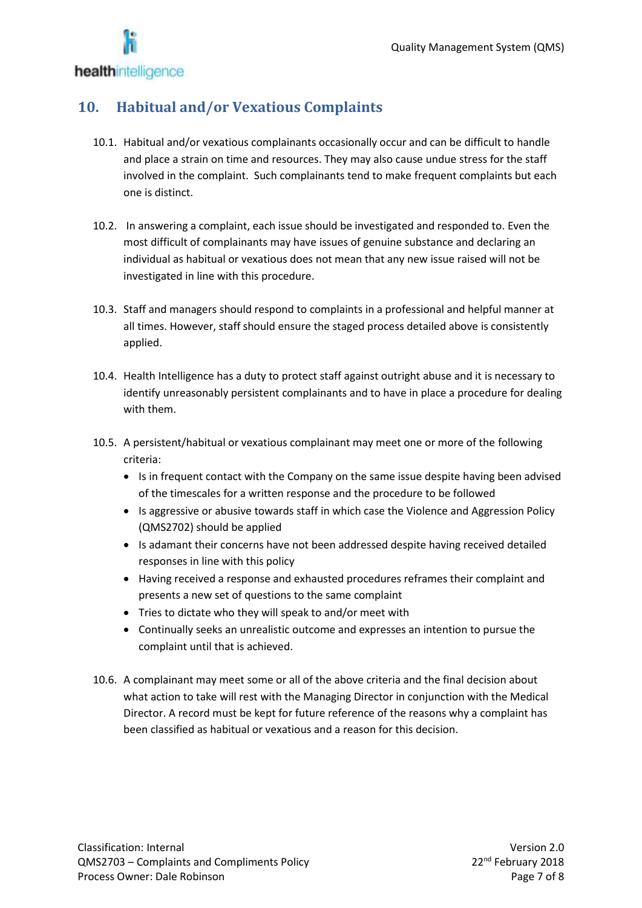

## **10. Habitual and/or Vexatious Complaints**

- 10.1. Habitual and/or vexatious complainants occasionally occur and can be difficult to handle and place a strain on time and resources. They may also cause undue stress for the staff involved in the complaint. Such complainants tend to make frequent complaints but each one is distinct.
- 10.2. In answering a complaint, each issue should be investigated and responded to. Even the most difficult of complainants may have issues of genuine substance and declaring an individual as habitual or vexatious does not mean that any new issue raised will not be investigated in line with this procedure.
- 10.3. Staff and managers should respond to complaints in a professional and helpful manner at all times. However, staff should ensure the staged process detailed above is consistently applied.
- 10.4. Health Intelligence has a duty to protect staff against outright abuse and it is necessary to identify unreasonably persistent complainants and to have in place a procedure for dealing with them.
- 10.5. A persistent/habitual or vexatious complainant may meet one or more of the following criteria:
	- Is in frequent contact with the Company on the same issue despite having been advised of the timescales for a written response and the procedure to be followed
	- Is aggressive or abusive towards staff in which case the Violence and Aggression Policy (QMS2702) should be applied
	- Is adamant their concerns have not been addressed despite having received detailed responses in line with this policy
	- Having received a response and exhausted procedures reframes their complaint and presents a new set of questions to the same complaint
	- Tries to dictate who they will speak to and/or meet with
	- Continually seeks an unrealistic outcome and expresses an intention to pursue the complaint until that is achieved.
- 10.6. A complainant may meet some or all of the above criteria and the final decision about what action to take will rest with the Managing Director in conjunction with the Medical Director. A record must be kept for future reference of the reasons why a complaint has been classified as habitual or vexatious and a reason for this decision.